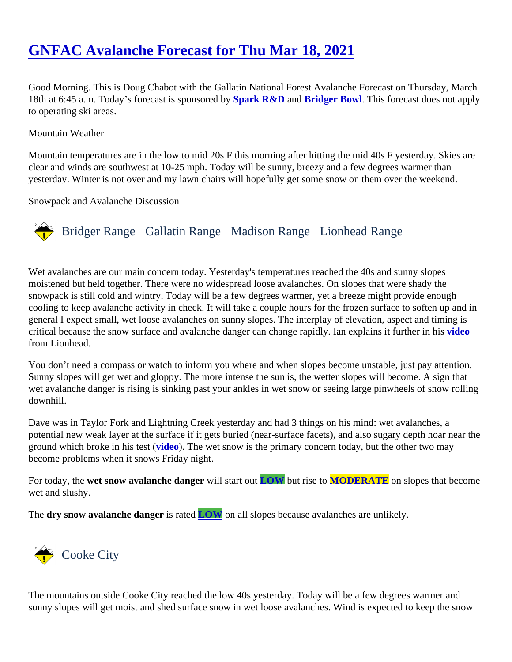## [GNFAC Avalanche Forecast for Thu Mar 18, 202](https://www.mtavalanche.com/forecast/21/03/18)1

Good Morning. This is Doug Chabot with the Gallatin National Forest Avalanche Forecast on Thursday, March 18th at 6:45 a.m. Today's forecast is sponsored by KR&D an[d Bridger Bowl.](http://bridgerbowl.com/) This forecast does not apply to operating ski areas.

## Mountain Weather

Mountain temperatures are in the low to mid 20s F this morning after hitting the mid 40s F yesterday. Skies are clear and winds are southwest at 10-25 mph. Today will be sunny, breezy and a few degrees warmer than yesterday. Winter is not over and my lawn chairs will hopefully get some snow on them over the weekend.

Snowpack and Avalanche Discussion

## Bridger Range Gallatin Range Madison RangeLionhead Range

Wet avalanches are our main concern today. Yesterday's temperatures reached the 40s and sunny slopes moistened but held together. There were no widespread loose avalanches. On slopes that were shady the snowpack is still cold and wintry. Today will be a few degrees warmer, yet a breeze might provide enough cooling to keep avalanche activity in check. It will take a couple hours for the frozen surface to soften up and general I expect small, wet loose avalanches on sunny slopes. The interplay of elevation, aspect and timing is critical because the snow surface and avalanche danger can change rapidly. Ian explains it fur[ther in](https://youtu.be/g8s9PZB134E) his from Lionhead.

You don't need a compass or watch to inform you where and when slopes become unstable, just pay attentio Sunny slopes will get wet and gloppy. The more intense the sun is, the wetter slopes will become. A sign that wet avalanche danger is rising is sinking past your ankles in wet snow or seeing large pinwheels of snow rolli downhill.

Dave was in Taylor Fork and Lightning Creek yesterday and had 3 things on his mind: wet avalanches, a potential new weak layer at the surface if it gets buried (near-surface facets), and also sugary depth hoar nea ground which broke in his testicleo). The wet snow is the primary concern today, but the other two may become problems when it snows Friday night.

For today, the wet snow avalanche dange will start ou[t LOW](https://www.mtavalanche.com/images/DangerScale-small.jpg) but rise t[o MODERATE](https://www.mtavalanche.com/images/DangerScale-small.jpg) on slopes that become wet and slushy.

The dry snow avalanche dangers rated OW on all slopes because avalanches are unlikely.

## Cooke City

The mountains outside Cooke City reached the low 40s yesterday. Today will be a few degrees warmer and sunny slopes will get moist and shed surface snow in wet loose avalanches. Wind is expected to keep the snow